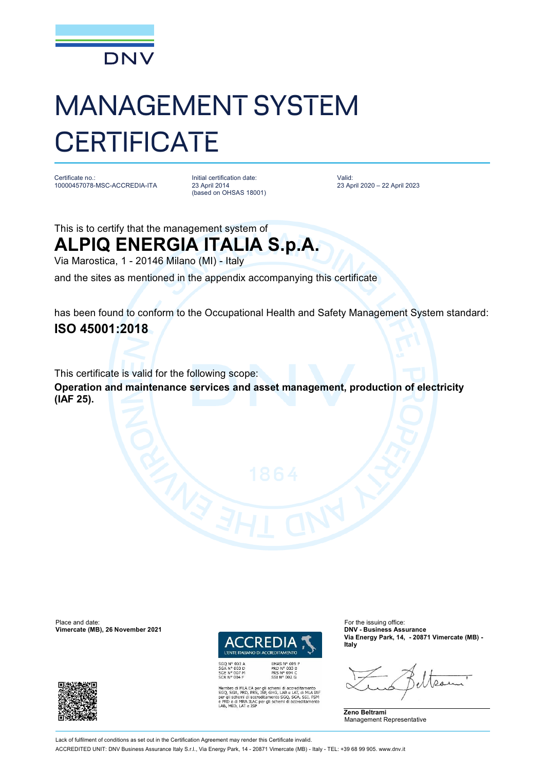

## MANAGEMENT SYSTEM **CERTIFICATE**

Certificate no.: 10000457078-MSC-ACCREDIA-ITA Initial certification date: 23 April 2014 (based on OHSAS 18001) Valid: 23 April 2020 – 22 April 2023

This is to certify that the management system of

**ALPIQ ENERGIA ITALIA S.p.A.**

Via Marostica, 1 - 20146 Milano (MI) - Italy

and the sites as mentioned in the appendix accompanying this certificate

has been found to conform to the Occupational Health and Safety Management System standard: **ISO 45001:2018**

This certificate is valid for the following scope:

**Operation and maintenance services and asset management, production of electricity (IAF 25).**

Place and date: For the issuing office:<br> **Vimercate (MB), 26 November 2021 CONSIDENTIAL CONSIDENT CONSIDENT** CONSIDENT CONSIDENT CONSIDERS ASSURANCE **Vimercate (MB), 26 November 2021** 



SGQ N° 003 A<br>SGA N° 003 D<br>SGE N° 007 M<br>SCR N° 004 F

bro di MLA EA per gli schemi di accreditamento<br>SGA, PRD, PRS, ISP, GHG, LAB e LAT, di MLA IAR<br>Ill schemi di accreditamento SGQ, SGA, SSI, FSM A ILAC per gli schemi di accri

**Via Energy Park, 14, - 20871 Vimercate (MB) - Italy**





Lack of fulfilment of conditions as set out in the Certification Agreement may render this Certificate invalid.

ACCREDITED UNIT: DNV Business Assurance Italy S.r.l., Via Energy Park, 14 - 20871 Vimercate (MB) - Italy - TEL: +39 68 99 905. [www.dnv.it](http://www.dnv.it)